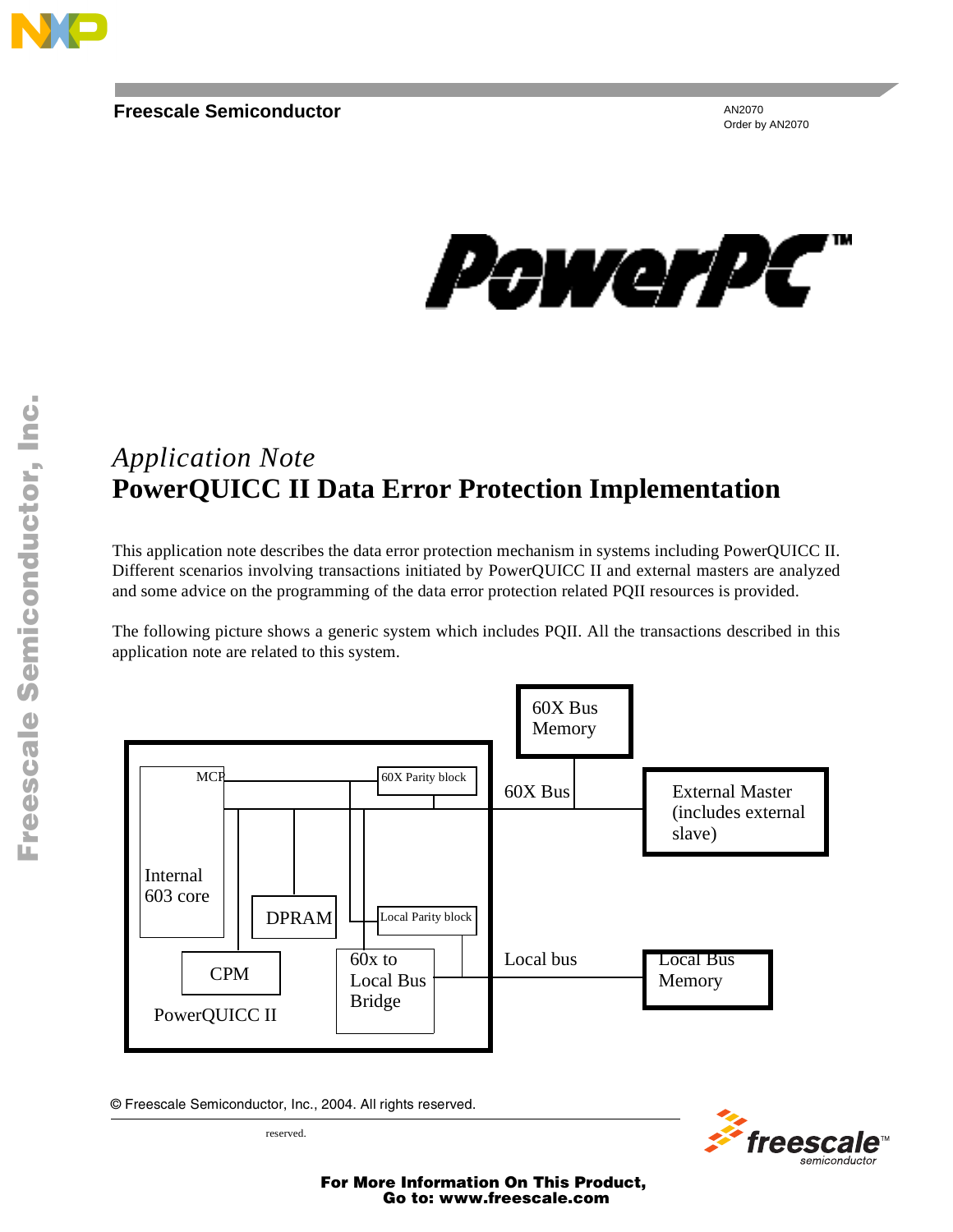

AN2070 Order by AN2070



# *Application Note* **PowerQUICC II Data Error Protection Implementation**

This application note describes the data error protection mechanism in systems including PowerQUICC II. Different scenarios involving transactions initiated by PowerQUICC II and external masters are analyzed and some advice on the programming of the data error protection related PQII resources is provided.

The following picture shows a generic system which includes PQII. All the transactions described in this application note are related to this system.



© Freescale Semiconductor, Inc., 2004. All rights reserved.



reserved.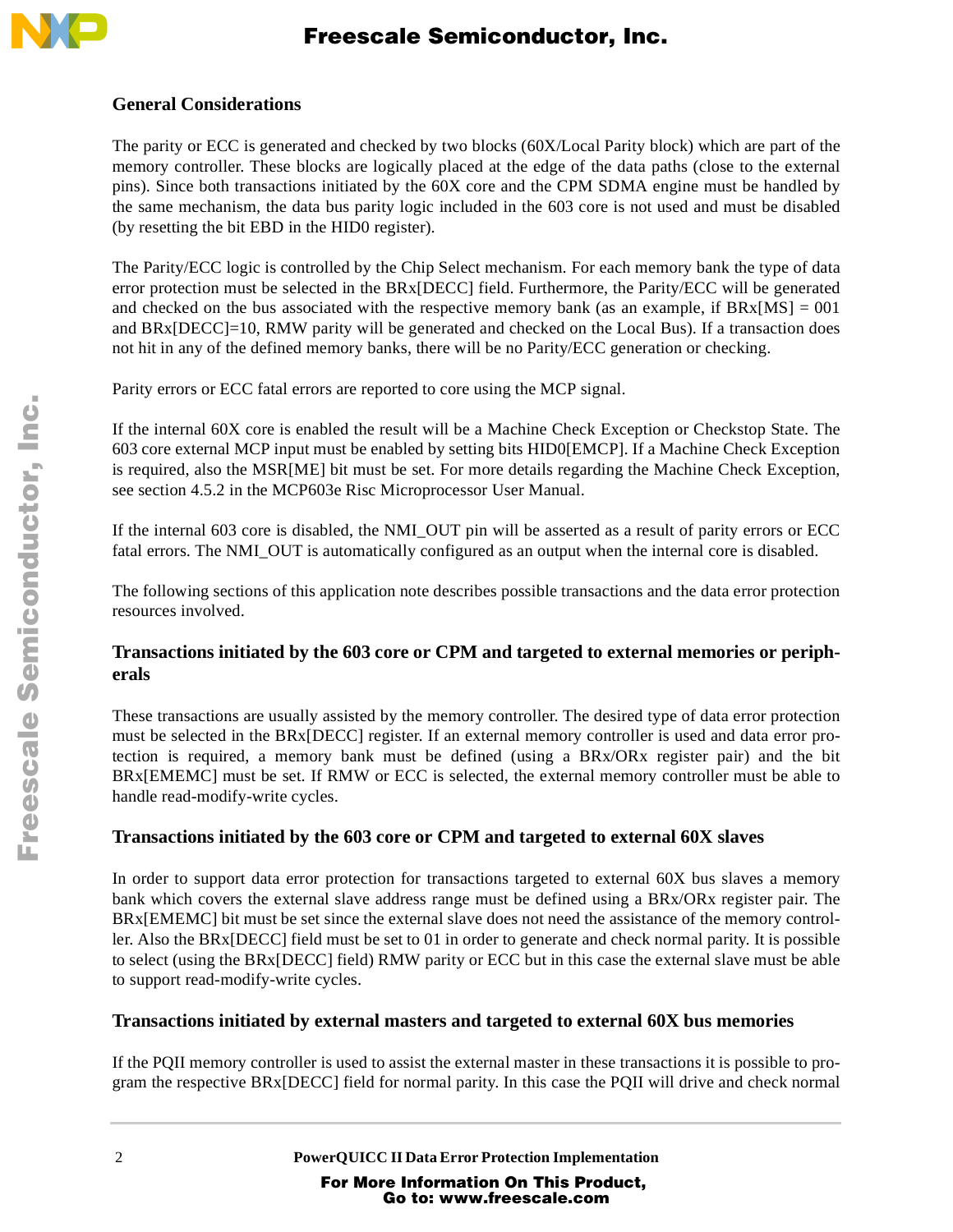

### **General Considerations**

The parity or ECC is generated and checked by two blocks (60X/Local Parity block) which are part of the memory controller. These blocks are logically placed at the edge of the data paths (close to the external pins). Since both transactions initiated by the 60X core and the CPM SDMA engine must be handled by the same mechanism, the data bus parity logic included in the 603 core is not used and must be disabled (by resetting the bit EBD in the HID0 register).

The Parity/ECC logic is controlled by the Chip Select mechanism. For each memory bank the type of data error protection must be selected in the BRx[DECC] field. Furthermore, the Parity/ECC will be generated and checked on the bus associated with the respective memory bank (as an example, if  $BRx[MS] = 001$ and BRx[DECC]=10, RMW parity will be generated and checked on the Local Bus). If a transaction does not hit in any of the defined memory banks, there will be no Parity/ECC generation or checking.

Parity errors or ECC fatal errors are reported to core using the MCP signal.

If the internal 60X core is enabled the result will be a Machine Check Exception or Checkstop State. The 603 core external MCP input must be enabled by setting bits HID0[EMCP]. If a Machine Check Exception is required, also the MSR[ME] bit must be set. For more details regarding the Machine Check Exception, see section 4.5.2 in the MCP603e Risc Microprocessor User Manual.

If the internal 603 core is disabled, the NMI\_OUT pin will be asserted as a result of parity errors or ECC fatal errors. The NMI\_OUT is automatically configured as an output when the internal core is disabled.

The following sections of this application note describes possible transactions and the data error protection resources involved.

### **Transactions initiated by the 603 core or CPM and targeted to external memories or peripherals**

These transactions are usually assisted by the memory controller. The desired type of data error protection must be selected in the BRx[DECC] register. If an external memory controller is used and data error protection is required, a memory bank must be defined (using a BRx/ORx register pair) and the bit BRx[EMEMC] must be set. If RMW or ECC is selected, the external memory controller must be able to handle read-modify-write cycles.

## **Transactions initiated by the 603 core or CPM and targeted to external 60X slaves**

In order to support data error protection for transactions targeted to external 60X bus slaves a memory bank which covers the external slave address range must be defined using a BRx/ORx register pair. The BRx[EMEMC] bit must be set since the external slave does not need the assistance of the memory controller. Also the BRx[DECC] field must be set to 01 in order to generate and check normal parity. It is possible to select (using the BRx[DECC] field) RMW parity or ECC but in this case the external slave must be able to support read-modify-write cycles.

### **Transactions initiated by external masters and targeted to external 60X bus memories**

If the PQII memory controller is used to assist the external master in these transactions it is possible to program the respective BRx[DECC] field for normal parity. In this case the PQII will drive and check normal

n d u  $\mathbf 0$ t o

r, I

n

.<br>ق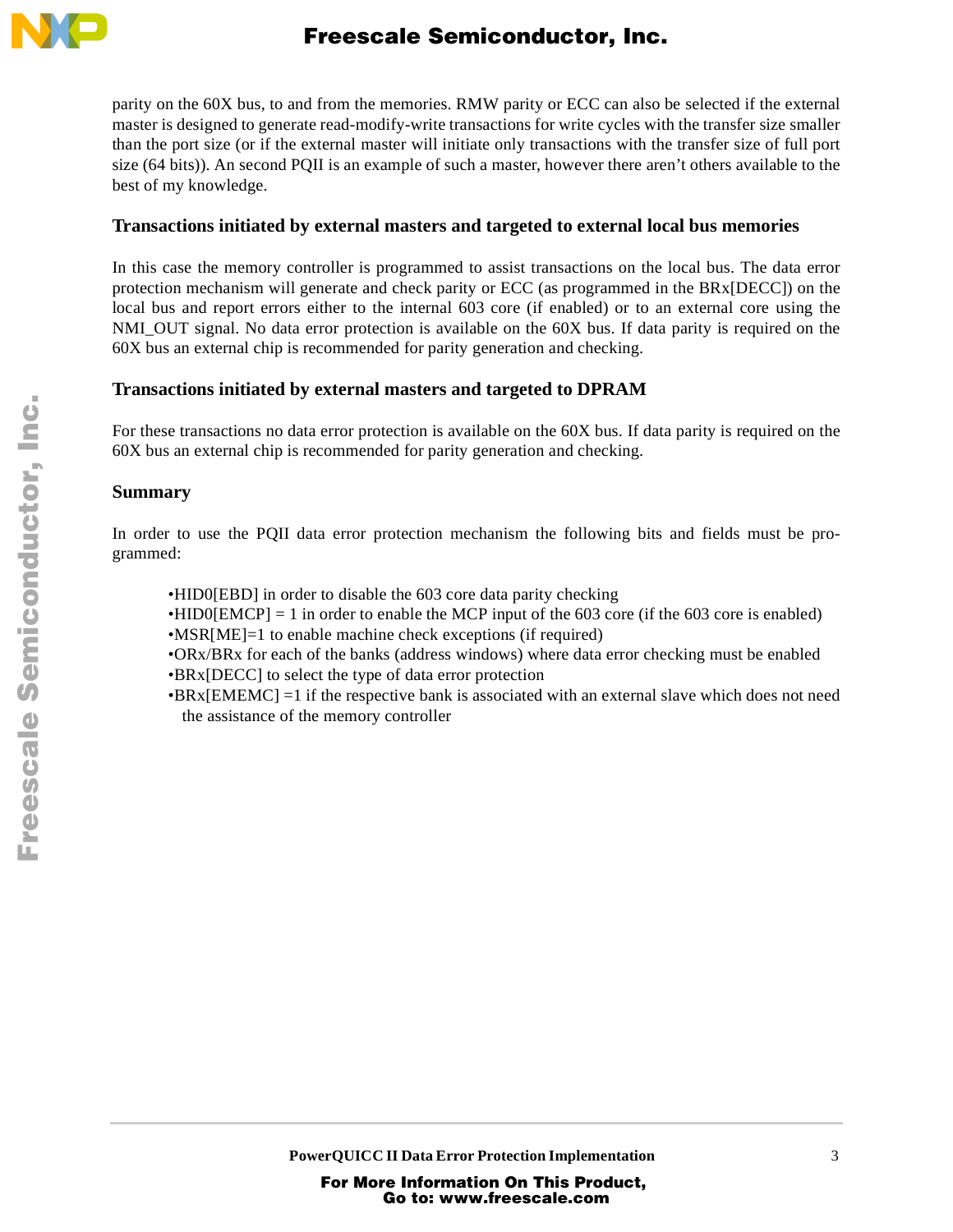

parity on the 60X bus, to and from the memories. RMW parity or ECC can also be selected if the external master is designed to generate read-modify-write transactions for write cycles with the transfer size smaller than the port size (or if the external master will initiate only transactions with the transfer size of full port size (64 bits)). An second PQII is an example of such a master, however there aren't others available to the best of my knowledge.

#### **Transactions initiated by external masters and targeted to external local bus memories**

In this case the memory controller is programmed to assist transactions on the local bus. The data error protection mechanism will generate and check parity or ECC (as programmed in the BRx[DECC]) on the local bus and report errors either to the internal 603 core (if enabled) or to an external core using the NMI\_OUT signal. No data error protection is available on the 60X bus. If data parity is required on the 60X bus an external chip is recommended for parity generation and checking.

### **Transactions initiated by external masters and targeted to DPRAM**

For these transactions no data error protection is available on the 60X bus. If data parity is required on the 60X bus an external chip is recommended for parity generation and checking.

### **Summary**

In order to use the PQII data error protection mechanism the following bits and fields must be programmed:

•HID0[EBD] in order to disable the 603 core data parity checking

 $\bullet$ HID0[EMCP] = 1 in order to enable the MCP input of the 603 core (if the 603 core is enabled) •MSR[ME]=1 to enable machine check exceptions (if required)

•ORx/BRx for each of the banks (address windows) where data error checking must be enabled •BRx[DECC] to select the type of data error protection

 $\bullet$ BRx[EMEMC] =1 if the respective bank is associated with an external slave which does not need the assistance of the memory controller